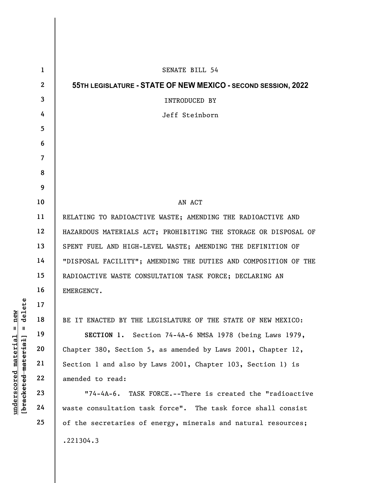|                                                                            | $\mathbf{1}$   | <b>SENATE BILL 54</b>                                             |
|----------------------------------------------------------------------------|----------------|-------------------------------------------------------------------|
|                                                                            | $\mathbf{2}$   | 55TH LEGISLATURE - STATE OF NEW MEXICO - SECOND SESSION, 2022     |
|                                                                            | $\mathbf{3}$   | INTRODUCED BY                                                     |
|                                                                            | 4              | Jeff Steinborn                                                    |
|                                                                            | 5 <sup>5</sup> |                                                                   |
|                                                                            | 6              |                                                                   |
|                                                                            | $\overline{7}$ |                                                                   |
|                                                                            | 8              |                                                                   |
|                                                                            | 9              |                                                                   |
|                                                                            | 10             | AN ACT                                                            |
|                                                                            | 11             | RELATING TO RADIOACTIVE WASTE; AMENDING THE RADIOACTIVE AND       |
|                                                                            | 12             | HAZARDOUS MATERIALS ACT; PROHIBITING THE STORAGE OR DISPOSAL OF   |
|                                                                            | 13             | SPENT FUEL AND HIGH-LEVEL WASTE; AMENDING THE DEFINITION OF       |
|                                                                            | 14             | "DISPOSAL FACILITY"; AMENDING THE DUTIES AND COMPOSITION OF THE   |
|                                                                            | 15             | RADIOACTIVE WASTE CONSULTATION TASK FORCE; DECLARING AN           |
|                                                                            | 16             | EMERGENCY.                                                        |
| delete<br>new<br>$^{\mathsf{II}}$<br>Ш<br>[bracketed material]<br>material | 17             |                                                                   |
|                                                                            | 18             | BE IT ENACTED BY THE LEGISLATURE OF THE STATE OF NEW MEXICO:      |
|                                                                            | 19             | SECTION 1. Section 74-4A-6 NMSA 1978 (being Laws 1979,            |
|                                                                            | 20             | Chapter 380, Section 5, as amended by Laws 2001, Chapter 12,      |
|                                                                            | 21             | Section 1 and also by Laws 2001, Chapter 103, Section 1) is       |
|                                                                            | 22             | amended to read:                                                  |
| underscored                                                                | 23             | TASK FORCE.--There is created the "radioactive<br>$"74 - 4A - 6.$ |
|                                                                            | 24             | waste consultation task force". The task force shall consist      |
|                                                                            | 25             | of the secretaries of energy, minerals and natural resources;     |
|                                                                            |                | .221304.3                                                         |
|                                                                            |                |                                                                   |

 $\overline{\phantom{a}}$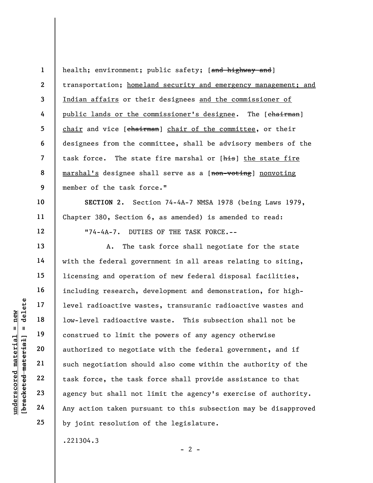1 2 3 4 5 6 7 8 9 health; environment; public safety; [and highway and] transportation; homeland security and emergency management; and Indian affairs or their designees and the commissioner of public lands or the commissioner's designee. The [chairman] chair and vice [chairman] chair of the committee, or their designees from the committee, shall be advisory members of the task force. The state fire marshal or [his] the state fire marshal's designee shall serve as a [non-voting] nonvoting member of the task force."

SECTION 2. Section 74-4A-7 NMSA 1978 (being Laws 1979, Chapter 380, Section 6, as amended) is amended to read: "74-4A-7. DUTIES OF THE TASK FORCE.--

underscored material = new [bracketed material] = delete A. The task force shall negotiate for the state with the federal government in all areas relating to siting, licensing and operation of new federal disposal facilities, including research, development and demonstration, for highlevel radioactive wastes, transuranic radioactive wastes and low-level radioactive waste. This subsection shall not be construed to limit the powers of any agency otherwise authorized to negotiate with the federal government, and if such negotiation should also come within the authority of the task force, the task force shall provide assistance to that agency but shall not limit the agency's exercise of authority. Any action taken pursuant to this subsection may be disapproved by joint resolution of the legislature.

.221304.3

 $- 2 -$ 

10

11

12

13

14

15

16

17

18

19

20

21

22

23

24

25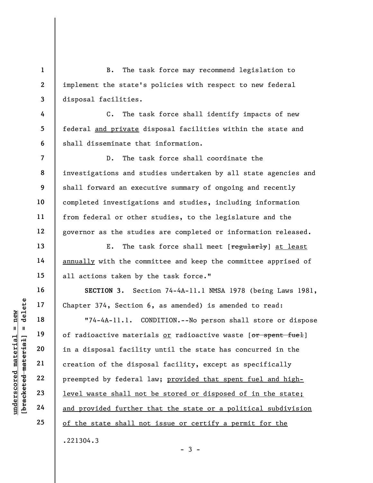B. The task force may recommend legislation to implement the state's policies with respect to new federal disposal facilities.

C. The task force shall identify impacts of new federal and private disposal facilities within the state and shall disseminate that information.

D. The task force shall coordinate the investigations and studies undertaken by all state agencies and shall forward an executive summary of ongoing and recently completed investigations and studies, including information from federal or other studies, to the legislature and the governor as the studies are completed or information released.

E. The task force shall meet [regularly] at least annually with the committee and keep the committee apprised of all actions taken by the task force."

SECTION 3. Section 74-4A-11.1 NMSA 1978 (being Laws 1981, Chapter 374, Section 6, as amended) is amended to read:

underscored material = new [bracketed material] = delete "74-4A-11.1. CONDITION.--No person shall store or dispose of radioactive materials or radioactive waste [or spent fuel] in a disposal facility until the state has concurred in the creation of the disposal facility, except as specifically preempted by federal law; provided that spent fuel and highlevel waste shall not be stored or disposed of in the state; and provided further that the state or a political subdivision of the state shall not issue or certify a permit for the .221304.3

 $-3 -$ 

1

2

3

4

5

6

7

8

9

10

11

12

13

14

15

16

17

18

19

20

21

22

23

24

25